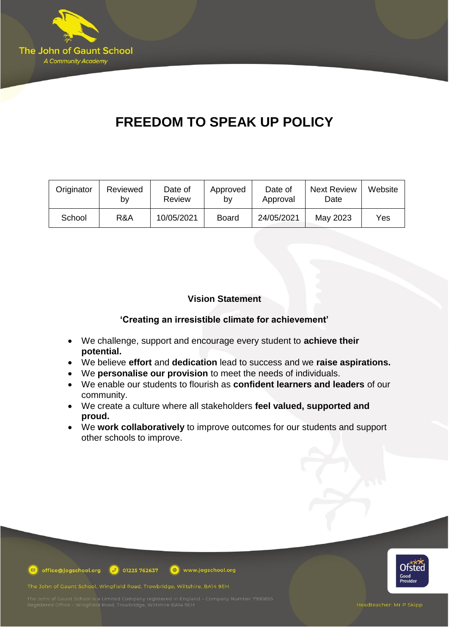

# **FREEDOM TO SPEAK UP POLICY**

| Originator | Reviewed<br>b٧ | Date of<br><b>Review</b> | Approved<br>b٧ | Date of<br>Approval | <b>Next Review</b><br>Date | Website |
|------------|----------------|--------------------------|----------------|---------------------|----------------------------|---------|
| School     | R&A            | 10/05/2021               | <b>Board</b>   | 24/05/2021          | May 2023                   | Yes     |

# **Vision Statement**

# **'Creating an irresistible climate for achievement'**

- We challenge, support and encourage every student to **achieve their potential.**
- We believe **effort** and **dedication** lead to success and we **raise aspirations.**
- We **personalise our provision** to meet the needs of individuals.

www.jogschool.org

- We enable our students to flourish as **confident learners and leaders** of our community.
- We create a culture where all stakeholders **feel valued, supported and proud.**
- We **work collaboratively** to improve outcomes for our students and support other schools to improve.



The John of Gaunt School, Wingfield Road, Trowbridge, Wiltshire, BA14 9EH

 $\circledcirc$  office@jogschool.org  $\circledcirc$  01225 762637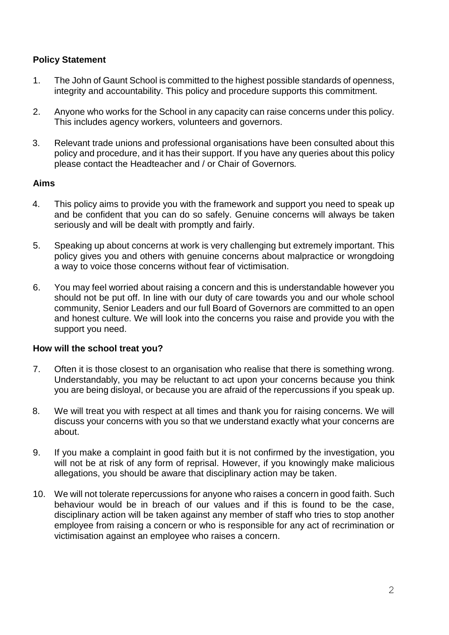# **Policy Statement**

- 1. The John of Gaunt School is committed to the highest possible standards of openness, integrity and accountability. This policy and procedure supports this commitment.
- 2. Anyone who works for the School in any capacity can raise concerns under this policy. This includes agency workers, volunteers and governors.
- 3. Relevant trade unions and professional organisations have been consulted about this policy and procedure, and it has their support. If you have any queries about this policy please contact the Headteacher and / or Chair of Governors*.*

## **Aims**

- 4. This policy aims to provide you with the framework and support you need to speak up and be confident that you can do so safely. Genuine concerns will always be taken seriously and will be dealt with promptly and fairly.
- 5. Speaking up about concerns at work is very challenging but extremely important. This policy gives you and others with genuine concerns about malpractice or wrongdoing a way to voice those concerns without fear of victimisation.
- 6. You may feel worried about raising a concern and this is understandable however you should not be put off. In line with our duty of care towards you and our whole school community, Senior Leaders and our full Board of Governors are committed to an open and honest culture. We will look into the concerns you raise and provide you with the support you need.

## **How will the school treat you?**

- 7. Often it is those closest to an organisation who realise that there is something wrong. Understandably, you may be reluctant to act upon your concerns because you think you are being disloyal, or because you are afraid of the repercussions if you speak up.
- 8. We will treat you with respect at all times and thank you for raising concerns. We will discuss your concerns with you so that we understand exactly what your concerns are about.
- 9. If you make a complaint in good faith but it is not confirmed by the investigation, you will not be at risk of any form of reprisal. However, if you knowingly make malicious allegations, you should be aware that disciplinary action may be taken.
- 10. We will not tolerate repercussions for anyone who raises a concern in good faith. Such behaviour would be in breach of our values and if this is found to be the case, disciplinary action will be taken against any member of staff who tries to stop another employee from raising a concern or who is responsible for any act of recrimination or victimisation against an employee who raises a concern.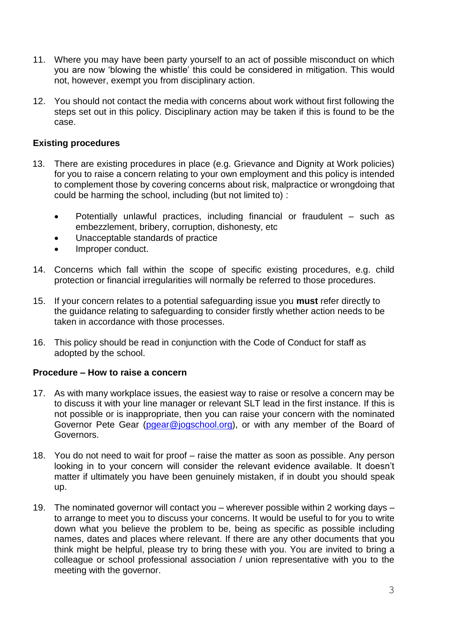- 11. Where you may have been party yourself to an act of possible misconduct on which you are now 'blowing the whistle' this could be considered in mitigation. This would not, however, exempt you from disciplinary action.
- 12. You should not contact the media with concerns about work without first following the steps set out in this policy. Disciplinary action may be taken if this is found to be the case.

## **Existing procedures**

- 13. There are existing procedures in place (e.g. Grievance and Dignity at Work policies) for you to raise a concern relating to your own employment and this policy is intended to complement those by covering concerns about risk, malpractice or wrongdoing that could be harming the school, including (but not limited to) :
	- Potentially unlawful practices, including financial or fraudulent such as embezzlement, bribery, corruption, dishonesty, etc
	- Unacceptable standards of practice
	- Improper conduct.
- 14. Concerns which fall within the scope of specific existing procedures, e.g. child protection or financial irregularities will normally be referred to those procedures.
- 15. If your concern relates to a potential safeguarding issue you **must** refer directly to the guidance relating to safeguarding to consider firstly whether action needs to be taken in accordance with those processes.
- 16. This policy should be read in conjunction with the Code of Conduct for staff as adopted by the school.

## **Procedure – How to raise a concern**

- 17. As with many workplace issues, the easiest way to raise or resolve a concern may be to discuss it with your line manager or relevant SLT lead in the first instance. If this is not possible or is inappropriate, then you can raise your concern with the nominated Governor Pete Gear [\(pgear@jogschool.org\)](mailto:pgear@jogschool.org), or with any member of the Board of Governors.
- 18. You do not need to wait for proof raise the matter as soon as possible. Any person looking in to your concern will consider the relevant evidence available. It doesn't matter if ultimately you have been genuinely mistaken, if in doubt you should speak up.
- 19. The nominated governor will contact you wherever possible within 2 working days to arrange to meet you to discuss your concerns. It would be useful to for you to write down what you believe the problem to be, being as specific as possible including names, dates and places where relevant. If there are any other documents that you think might be helpful, please try to bring these with you. You are invited to bring a colleague or school professional association / union representative with you to the meeting with the governor.